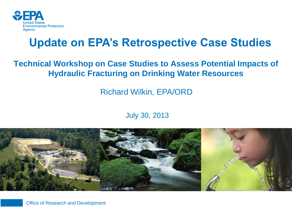

### **Update on EPA's Retrospective Case Studies**

#### **Technical Workshop on Case Studies to Assess Potential Impacts of Hydraulic Fracturing on Drinking Water Resources**

Richard Wilkin, EPA/ORD

#### July 30, 2013



**1 Office of Research and Development**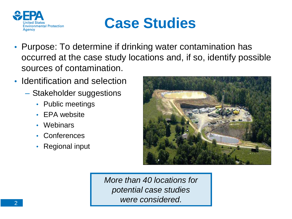



- Purpose: To determine if drinking water contamination has occurred at the case study locations and, if so, identify possible sources of contamination.
- Identification and selection
	- Stakeholder suggestions
		- Public meetings
		- EPA website
		- Webinars
		- Conferences
		- Regional input



*More than 40 locations for potential case studies were considered.*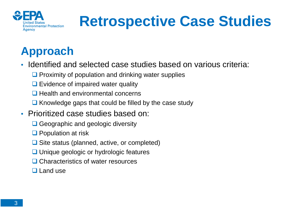

# **Retrospective Case Studies**

### **Approach**

- Identified and selected case studies based on various criteria:
	- $\Box$  Proximity of population and drinking water supplies
	- $\Box$  Evidence of impaired water quality
	- $\Box$  Health and environmental concerns
	- $\Box$  Knowledge gaps that could be filled by the case study
- Prioritized case studies based on:
	- **□** Geographic and geologic diversity
	- **Q** Population at risk
	- $\Box$  Site status (planned, active, or completed)
	- **□** Unique geologic or hydrologic features
	- **□ Characteristics of water resources**
	- $\Box$  Land use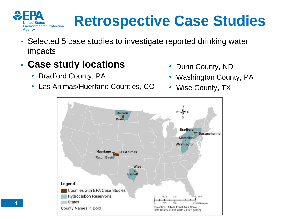

# **Retrospective Case Studies**

- Selected 5 case studies to investigate reported drinking water impacts
- **Case study locations** 
	- Bradford County, PA
	- Las Animas/Huerfano Counties, CO
- Dunn County, ND
- Washington County, PA
- Wise County, TX

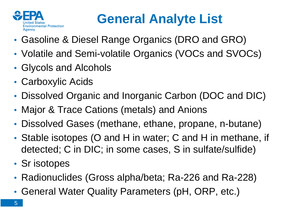

### **General Analyte List**

- Gasoline & Diesel Range Organics (DRO and GRO)
- Volatile and Semi-volatile Organics (VOCs and SVOCs)
- Glycols and Alcohols
- Carboxylic Acids
- Dissolved Organic and Inorganic Carbon (DOC and DIC)
- Major & Trace Cations (metals) and Anions
- Dissolved Gases (methane, ethane, propane, n-butane)
- Stable isotopes (O and H in water; C and H in methane, if detected; C in DIC; in some cases, S in sulfate/sulfide)
- Sr isotopes
- Radionuclides (Gross alpha/beta; Ra-226 and Ra-228)
- General Water Quality Parameters (pH, ORP, etc.)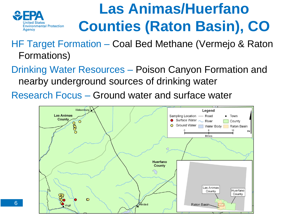

## **Las Animas/Huerfano Counties (Raton Basin), CO**

HF Target Formation – Coal Bed Methane (Vermejo & Raton Formations)

Drinking Water Resources – Poison Canyon Formation and nearby underground sources of drinking water

Research Focus – Ground water and surface water

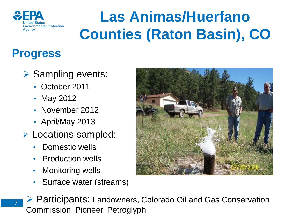

# **Las Animas/Huerfano Counties (Raton Basin), CO**

### **Progress**

7

### $\triangleright$  Sampling events:

- October 2011
- May 2012
- November 2012
- April/May 2013
- **Locations sampled:** 
	- Domestic wells
	- Production wells
	- Monitoring wells
	- Surface water (streams)



▶ Participants: Landowners, Colorado Oil and Gas Conservation Commission, Pioneer, Petroglyph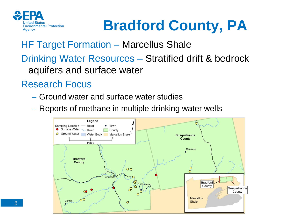

# **Bradford County, PA**

HF Target Formation – Marcellus Shale

Drinking Water Resources – Stratified drift & bedrock aquifers and surface water

#### Research Focus

- Ground water and surface water studies
- Reports of methane in multiple drinking water wells

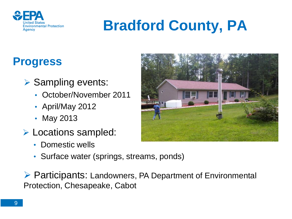

# **Bradford County, PA**

### **Progress**

- $\triangleright$  Sampling events:
	- October/November 2011
	- April/May 2012
	- May 2013
- Locations sampled:
	- Domestic wells
	- Surface water (springs, streams, ponds)

▶ Participants: Landowners, PA Department of Environmental Protection, Chesapeake, Cabot

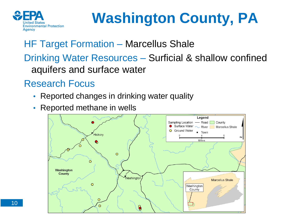

# **Washington County, PA**

#### HF Target Formation – Marcellus Shale

Drinking Water Resources – Surficial & shallow confined aquifers and surface water

#### Research Focus

- Reported changes in drinking water quality
- Reported methane in wells

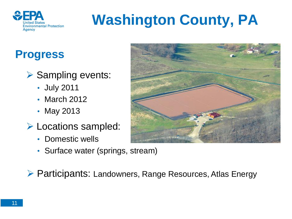

# **Washington County, PA**

### **Progress**

- $\triangleright$  Sampling events:
	- July 2011
	- March 2012
	- May 2013
- Locations sampled:
	- Domestic wells
	- Surface water (springs, stream)



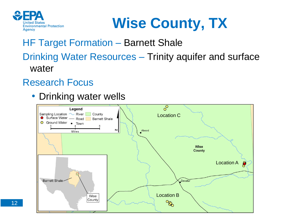



#### HF Target Formation – Barnett Shale Drinking Water Resources – Trinity aquifer and surface water

#### Research Focus

• Drinking water wells

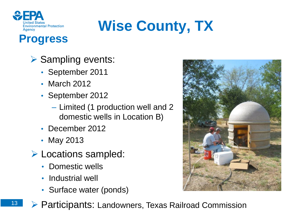

# **Wise County, TX**

### **Progress**

- $\triangleright$  Sampling events:
	- September 2011
	- March 2012
	- September 2012
		- Limited (1 production well and 2 domestic wells in Location B)
	- December 2012
	- May 2013
- Locations sampled:
	- Domestic wells
	- Industrial well
	- Surface water (ponds)
- 
- ▶ Participants: Landowners, Texas Railroad Commission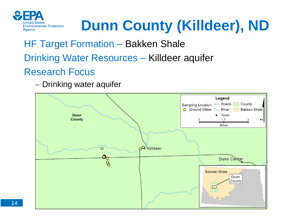

# **Dunn County (Killdeer), ND**

### HF Target Formation – Bakken Shale Drinking Water Resources – Killdeer aquifer Research Focus

– Drinking water aquifer

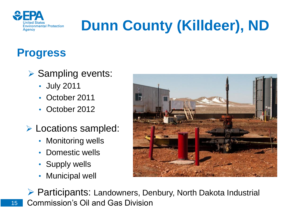

# **Dunn County (Killdeer), ND**

### **Progress**

### $\triangleright$  Sampling events:

- July 2011
- October 2011
- October 2012
- **Locations sampled:** 
	- Monitoring wells
	- Domestic wells
	- Supply wells
	- Municipal well



▶ Participants: Landowners, Denbury, North Dakota Industrial Commission's Oil and Gas Division